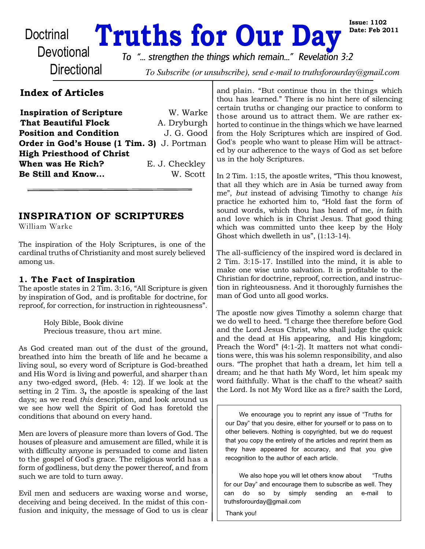# Doctrinal **Truths for Our Day**

**Issue: 1102 Date: Feb 2011**

**Directional** 

*To "... strengthen the things which remain..." Revelation 3:2*

To Subscribe (or unsubscribe), send e-mail to truthsforourday@gmail.com

# **Index of Articles**

**Inspiration of Scripture** W. Warke **That Beautiful Flock** A. Dryburgh **Position and Condition** J. G. Good **Order in God's House (1 Tim. 3)** J. Portman **High Priesthood of Christ When was He Rich?** E. J. Checkley **Be Still and Know...** W. Scott

# **INSPIRATION OF SCRIPTURES**

William Warke

The inspiration of the Holy Scriptures, is one of the cardinal truths of Christianity and most surely believed among us.

### **1. The Fact of Inspiration**

The apostle states in 2 Tim. 3:16, "All Scripture is given by inspiration of God, and is profitable for doctrine, for reproof, for correction, for instruction in righteousness".

> Holy Bible, Book divine Precious treasure, thou art mine.

As God created man out of the dust of the ground, breathed into him the breath of life and he became a living soul, so every word of Scripture is God-breathed and His Word is living and powerful, and sharper than any two-edged sword, (Heb. 4: 12). If we look at the setting in 2 Tim. 3**,** the apostle is speaking of the last days; as we read *this* description, and look around us we see how well the Spirit of God has foretold the conditions that abound on every hand.

Men are lovers of pleasure more than lovers of God. The houses of pleasure and amusement are filled, while it is with difficulty anyone is persuaded to come and listen to the gospel of God's grace. The religious world has a form of godliness, but deny the power thereof, and from such we are told to turn away.

Evil men and seducers are waxing worse and worse, deceiving and being deceived. In the midst of this confusion and iniquity, the message of God to us is clear and plain. "But continue thou in the things which thou has learned." There is no hint here of silencing certain truths or changing our practice to conform to those around us to attract them. We are rather exhorted to continue in the things which we have learned from the Holy Scriptures which are inspired of God. God's people who want to please Him will be attracted by our adherence to the ways of God as set before us in the holy Scriptures.

In 2 Tim. 1:15, the apostle writes, "This thou knowest, that all they which are in Asia be turned away from me", *but* instead of advising Timothy to change *his* practice he exhorted him to, "Hold fast the form of sound words, which thou has heard of me, *in* faith and love which is in Christ Jesus. That good thing which was committed unto thee keep by the Holy Ghost which dwelleth in us", (1:13-14).

The all-sufficiency of the inspired word is declared in 2 Tim. 3:15-17. Instilled into the mind, it is able to make one wise unto salvation. It is profitable to the Christian for doctrine, reproof, correction, and instruction in righteousness. And it thoroughly furnishes the man of God unto all good works.

The apostle now gives Timothy a solemn charge that we do well to heed. "I charge thee therefore before God and the Lord Jesus Christ, who shall judge the quick and the dead at His appearing, and His kingdom; Preach the Word" (4:1-2). It matters not what conditions were, this was his solemn responsibility, and also ours. "The prophet that hath a dream, let him tell a dream; and he that hath My Word, let him speak my word faithfully. What is the chaff to the wheat? saith the Lord. Is not My Word like as a fire? saith the Lord,

We encourage you to reprint any issue of "Truths for our Day" that you desire, either for yourself or to pass on to other believers. Nothing is copyrighted, but we do request that you copy the entirety of the articles and reprint them as they have appeared for accuracy, and that you give recognition to the author of each article.

We also hope you will let others know about "Truths" for our Day" and encourage them to subscribe as well. They can do so by simply sending an e-mail to truthsforourday@gmail.com

Thank you!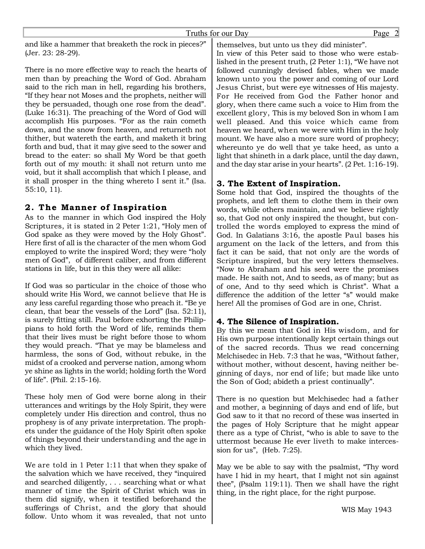and like a hammer that breaketh the rock in pieces?" (Jer. 23: 28-29).

There is no more effective way to reach the hearts of men than by preaching the Word of God. Abraham said to the rich man in hell, regarding his brothers, "If they hear not Moses and the prophets, neither will they be persuaded, though one rose from the dead". (Luke 16:31). The preaching of the Word of God will accomplish His purposes. "For as the rain cometh down, and the snow from heaven, and returneth not thither, but watereth the earth, and maketh it bring forth and bud, that it may give seed to the sower and bread to the eater: so shall My Word be that goeth forth out of my mouth: it shall not return unto me void, but it shall accomplish that which I please, and it shall prosper in the thing whereto I sent it." (Isa. 55:10, 11).

#### **2 . The Manner of Inspiration**

As to the manner in which God inspired the Holy Scriptures, it is stated in 2 Peter 1:21, "Holy men of God spake as they were moved by the Holy Ghost". Here first of all is the character of the men whom God employed to write the inspired Word; they were "holy men of God", of different caliber, and from different stations in life, but in this they were all alike:

If God was so particular in the choice of those who should write His Word, we cannot believe that He is any less careful regarding those who preach it. "Be ye clean, that bear the vessels of the Lord" (Isa. 52:11), is surely fitting still. Paul before exhorting the Philippians to hold forth the Word of life, reminds them that their lives must be right before those to whom they would preach. "That ye may be blameless and harmless, the sons of God, without rebuke, in the midst of a crooked and perverse nation, among whom ye shine as lights in the world; holding forth the Word of life". (Phil. 2:15-16).

These holy men of God were borne along in their utterances and writings by the Holy Spirit, they were completely under His direction and control, thus no prophesy is of any private interpretation. The prophets under the guidance of the Holy Spirit often spoke of things beyond their understanding and the age in which they lived.

We are told in 1 Peter 1:11 that when they spake of the salvation which we have received, they "inquired and searched diligently, . . . searching what or what manner of time the Spirit of Christ which was in them did signify, when it testified beforehand the sufferings of Christ, and the glory that should follow. Unto whom it was revealed, that not unto

themselves, but unto us they did minister".

In view of this Peter said to those who were established in the present truth, (2 Peter 1:1), "We have not followed cunningly devised fables, when we made known unto you the power and coming of our Lord Jesus Christ, but were eye witnesses of His majesty. For He received from God the Father honor and glory, when there came such a voice to Him from the excellent glory, This is my beloved Son in whom I am well pleased. And this voice which came from heaven we heard, when we were with Him in the holy mount. We have also a more sure word of prophecy; whereunto ye do well that ye take heed, as unto a light that shineth in a dark place, until the day dawn, and the day star arise in your hearts". (2 Pet. 1:16-19).

#### **3. The Extent of Inspiration.**

Some hold that God, inspired the thoughts of the prophets, and left them to clothe them in their own words, while others maintain, and we believe rightly so, that God not only inspired the thought, but controlled the words employed to express the mind of God. In Galatians 3:16, the apostle Paul bases his argument on the lack of the letters, and from this fact it can be said, that not only are the words of Scripture inspired, but the very letters themselves. "Now to Abraham and his seed were the promises made. He saith not, And to seeds, as of many; but as of one, And to thy seed which is Christ". What a difference the addition of the letter "s" would make here! All the promises of God are in one, Christ.

#### **4. The Silence of Inspiration.**

By this we mean that God in His wisdom, and for His own purpose intentionally kept certain things out of the sacred records. Thus we read concerning Melchisedec in Heb. 7:3 that he was, "Without father, without mother, without descent, having neither beginning of days, nor end of life; but made like unto the Son of God; abideth a priest continually".

There is no question but Melchisedec had a father and mother, a beginning of days and end of life, but God saw to it that no record of these was inserted in the pages of Holy Scripture that he might appear there as a type of Christ, "who is able to save to the uttermost because He ever liveth to make intercession for us", (Heb. 7:25).

May we be able to say with the psalmist, "Thy word have I hid in my heart, that I might not sin against thee", (Psalm 119:11). Then we shall have the right thing, in the right place, for the right purpose.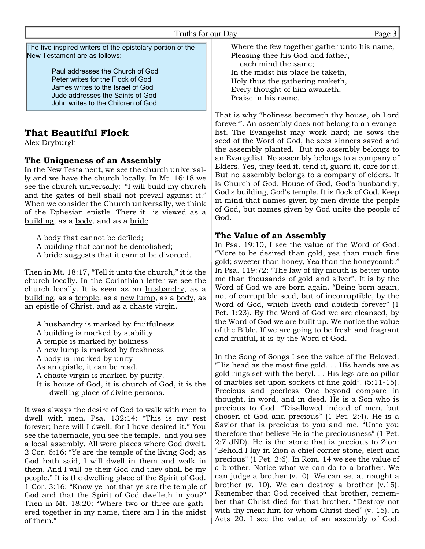Truths for our Day Page 3

The five inspired writers of the epistolary portion of the New Testament are as follows:

> Paul addresses the Church of God Peter writes for the Flock of God James writes to the Israel of God Jude addresses the Saints of God John writes to the Children of God

# **That Beautiful Flock**

Alex Dryburgh

#### **The Uniqueness of an Assembly**

In the New Testament, we see the church universally and we have the church locally. In Mt. 16:18 we see the church universally: "I will build my church and the gates of hell shall not prevail against it." When we consider the Church universally, we think of the Ephesian epistle. There it is viewed as a building, as a body, and as a bride.

A body that cannot be defiled; A building that cannot be demolished; A bride suggests that it cannot be divorced.

Then in Mt. 18:17, "Tell it unto the church," it is the church locally. In the Corinthian letter we see the church locally. It is seen as an husbandry, as a building, as a temple, as a new lump, as a body, as an epistle of Christ, and as a chaste virgin.

A husbandry is marked by fruitfulness A building is marked by stability A temple is marked by holiness A new lump is marked by freshness A body is marked by unity As an epistle, it can be read. A chaste virgin is marked by purity. It is house of God, it is church of God, it is the

 dwelling place of divine persons. It was always the desire of God to walk with men to dwell with men. Psa. 132:14: "This is my rest forever; here will I dwell; for I have desired it." You see the tabernacle, you see the temple, and you see a local assembly. All were places where God dwelt. 2 Cor. 6:16: "Ye are the temple of the living God; as God hath said, I will dwell in them and walk in them. And I will be their God and they shall be my people." It is the dwelling place of the Spirit of God. 1 Cor. 3:16: "Know ye not that ye are the temple of God and that the Spirit of God dwelleth in you?" Then in Mt. 18:20: "Where two or three are gathered together in my name, there am I in the midst of them."

Where the few together gather unto his name, Pleasing thee his God and father,

 each mind the same; In the midst his place he taketh, Holy thus the gathering maketh, Every thought of him awaketh, Praise in his name.

That is why "holiness becometh thy house, oh Lord forever". An assembly does not belong to an evangelist. The Evangelist may work hard; he sows the seed of the Word of God, he sees sinners saved and the assembly planted. But no assembly belongs to an Evangelist. No assembly belongs to a company of Elders. Yes, they feed it, tend it, guard it, care for it. But no assembly belongs to a company of elders. It is Church of God, House of God, God's husbandry, God's building, God's temple. It is flock of God. Keep in mind that names given by men divide the people of God, but names given by God unite the people of God.

#### **The Value of an Assembly**

In Psa. 19:10, I see the value of the Word of God: "More to be desired than gold, yea than much fine gold; sweeter than honey, Yea than the honeycomb." In Psa. 119:72: "The law of thy mouth is better unto me than thousands of gold and silver". It is by the Word of God we are born again. "Being born again, not of corruptible seed, but of incorruptible, by the Word of God, which liveth and abideth forever" (1 Pet. 1:23). By the Word of God we are cleansed, by the Word of God we are built up. We notice the value of the Bible. If we are going to be fresh and fragrant and fruitful, it is by the Word of God.

In the Song of Songs I see the value of the Beloved. "His head as the most fine gold. . . His hands are as gold rings set with the beryl. . . His legs are as pillar of marbles set upon sockets of fine gold". (5:11-15). Precious and peerless One beyond compare in thought, in word, and in deed. He is a Son who is precious to God. "Disallowed indeed of men, but chosen of God and precious" (1 Pet. 2:4). He is a Savior that is precious to you and me. "Unto you therefore that believe He is the preciousness" (1 Pet. 2:7 JND). He is the stone that is precious to Zion: "Behold I lay in Zion a chief corner stone, elect and precious" (1 Pet. 2:6). In Rom. 14 we see the value of a brother. Notice what we can do to a brother. We can judge a brother (v.10). We can set at naught a brother (v. 10). We can destroy a brother (v.15). Remember that God received that brother, remember that Christ died for that brother. "Destroy not with thy meat him for whom Christ died" (v. 15). In Acts 20, I see the value of an assembly of God.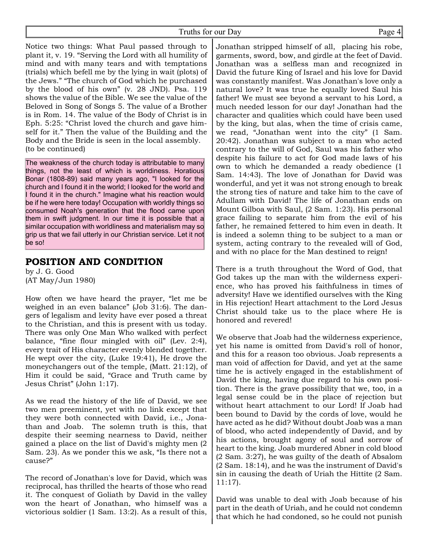Notice two things: What Paul passed through to plant it, v. 19. "Serving the Lord with all humility of mind and with many tears and with temptations (trials) which befell me by the lying in wait (plots) of the Jews." "The church of God which he purchased by the blood of his own" (v. 28 JND). Psa. 119 shows the value of the Bible. We see the value of the Beloved in Song of Songs 5. The value of a Brother is in Rom. 14. The value of the Body of Christ is in Eph. 5:25: "Christ loved the church and gave himself for it." Then the value of the Building and the Body and the Bride is seen in the local assembly. (to be continued)

The weakness of the church today is attributable to many things, not the least of which is worldiness. Horatious Bonar (1808-89) said many years ago, "I looked for the church and I found it in the world; I looked for the world and I found it in the church." Imagine what his reaction would be if he were here today! Occupation with worldly things so consumed Noah's generation that the flood came upon them in swift judgment. In our time it is possible that a similar occupation with worldliness and materialism may so grip us that we fail utterly in our Christian service. Let it not be so!

# **POSITION AND CONDITION**

by J. G. Good (AT May/Jun 1980)

How often we have heard the prayer, "let me be weighed in an even balance" (Job 31:6). The dangers of legalism and levity have ever posed a threat to the Christian, and this is present with us today. There was only One Man Who walked with perfect balance, "fine flour mingled with oil" (Lev. 2:4), every trait of His character evenly blended together. He wept over the city, (Luke 19:41), He drove the moneychangers out of the temple, (Matt. 21:12), of Him it could be said, "Grace and Truth came by Jesus Christ" (John 1:17).

As we read the history of the life of David, we see two men preeminent, yet with no link except that they were both connected with David, i.e., Jonathan and Joab. The solemn truth is this, that despite their seeming nearness to David, neither gained a place on the list of David's mighty men (2 Sam. 23). As we ponder this we ask, "Is there not a cause?"

The record of Jonathan's love for David, which was reciprocal, has thrilled the hearts of those who read it. The conquest of Goliath by David in the valley won the heart of Jonathan, who himself was a victorious soldier (1 Sam. 13:2). As a result of this,

Jonathan stripped himself of all, placing his robe, garments, sword, bow, and girdle at the feet of David. Jonathan was a selfless man and recognized in David the future King of Israel and his love for David was constantly manifest. Was Jonathan's love only a natural love? It was true he equally loved Saul his father! We must see beyond a servant to his Lord, a much needed lesson for our day! Jonathan had the character and qualities which could have been used by the king, but alas, when the time of crisis came, we read, "Jonathan went into the city" (1 Sam. 20:42). Jonathan was subject to a man who acted contrary to the will of God, Saul was his father who despite his failure to act for God made laws of his own to which he demanded a ready obedience (1 Sam. 14:43). The love of Jonathan for David was wonderful, and yet it was not strong enough to break the strong ties of nature and take him to the cave of Adullam with David! The life of Jonathan ends on Mount Gilboa with Saul, (2 Sam. 1:23). His personal grace failing to separate him from the evil of his father, he remained fettered to him even in death. It is indeed a solemn thing to be subject to a man or system, acting contrary to the revealed will of God, and with no place for the Man destined to reign!

There is a truth throughout the Word of God, that God takes up the man with the wilderness experience, who has proved his faithfulness in times of adversity! Have we identified ourselves with the King in His rejection! Heart attachment to the Lord Jesus Christ should take us to the place where He is honored and revered!

We observe that Joab had the wilderness experience, yet his name is omitted from David's roll of honor, and this for a reason too obvious. Joab represents a man void of affection for David, and yet at the same time he is actively engaged in the establishment of David the king, having due regard to his own position. There is the grave possibility that we, too, in a legal sense could be in the place of rejection but without heart attachment to our Lord! If Joab had been bound to David by the cords of love, would he have acted as he did? Without doubt Joab was a man of blood, who acted independently of David, and by his actions, brought agony of soul and sorrow of heart to the king. Joab murdered Abner in cold blood (2 Sam. 3:27), he was guilty of the death of Absalom (2 Sam. 18:14), and he was the instrument of David's sin in causing the death of Uriah the Hittite (2 Sam. 11:17).

David was unable to deal with Joab because of his part in the death of Uriah, and he could not condemn that which he had condoned, so he could not punish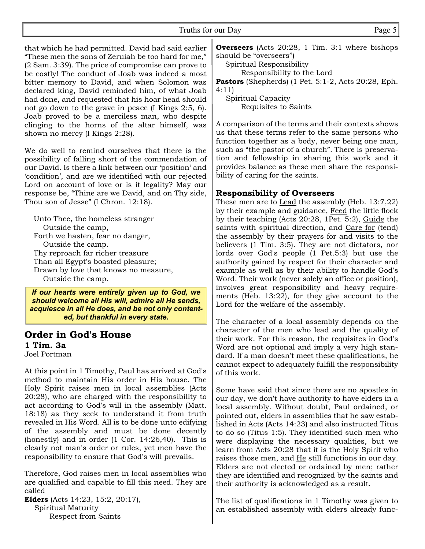that which he had permitted. David had said earlier "These men the sons of Zeruiah be too hard for me," (2 Sam. 3:39). The price of compromise can prove to be costly! The conduct of Joab was indeed a most bitter memory to David, and when Solomon was declared king, David reminded him, of what Joab had done, and requested that his hoar head should not go down to the grave in peace (I Kings 2:5, 6). Joab proved to be a merciless man, who despite clinging to the horns of the altar himself, was shown no mercy (I Kings 2:28).

We do well to remind ourselves that there is the possibility of falling short of the commendation of our David. Is there a link between our 'position' and 'condition', and are we identified with our rejected Lord on account of love or is it legality? May our response be, "Thine are we David, and on Thy side, Thou son of Jesse" (I Chron. 12:18).

 Unto Thee, the homeless stranger Outside the camp, Forth we hasten, fear no danger, Outside the camp. Thy reproach far richer treasure Than all Egypt's boasted pleasure; Drawn by love that knows no measure, Outside the camp.

*If our hearts were entirely given up to God, we should welcome all His will, admire all He sends, acquiesce in all He does, and be not only contented, but thankful in every state.*

# **Order in God's House 1 Tim. 3a**

Joel Portman

At this point in 1 Timothy, Paul has arrived at God's method to maintain His order in His house. The Holy Spirit raises men in local assemblies (Acts 20:28), who are charged with the responsibility to act according to God's will in the assembly (Matt. 18:18) as they seek to understand it from truth revealed in His Word. All is to be done unto edifying of the assembly and must be done decently (honestly) and in order (1 Cor. 14:26,40). This is clearly not man's order or rules, yet men have the responsibility to ensure that God's will prevails.

Therefore, God raises men in local assemblies who are qualified and capable to fill this need. They are called

**Elders** (Acts 14:23, 15:2, 20:17), Spiritual Maturity Respect from Saints

**Overseers** (Acts 20:28, 1 Tim. 3:1 where bishops should be "overseers")

Spiritual Responsibility

Responsibility to the Lord

**Pastors** (Shepherds) (1 Pet. 5:1-2, Acts 20:28, Eph. 4:11)

 Spiritual Capacity Requisites to Saints

A comparison of the terms and their contexts shows us that these terms refer to the same persons who function together as a body, never being one man, such as "the pastor of a church". There is preservation and fellowship in sharing this work and it provides balance as these men share the responsibility of caring for the saints.

#### **Responsibility of Overseers**

These men are to Lead the assembly (Heb. 13:7,22) by their example and guidance, Feed the little flock by their teaching (Acts 20:28, 1Pet. 5:2), Guide the saints with spiritual direction, and Care for (tend) the assembly by their prayers for and visits to the believers (1 Tim. 3:5). They are not dictators, nor lords over God's people (1 Pet.5:3) but use the authority gained by respect for their character and example as well as by their ability to handle God's Word. Their work (never solely an office or position), involves great responsibility and heavy requirements (Heb. 13:22), for they give account to the Lord for the welfare of the assembly.

The character of a local assembly depends on the character of the men who lead and the quality of their work. For this reason, the requisites in God's Word are not optional and imply a very high standard. If a man doesn't meet these qualifications, he cannot expect to adequately fulfill the responsibility of this work.

Some have said that since there are no apostles in our day, we don't have authority to have elders in a local assembly. Without doubt, Paul ordained, or pointed out, elders in assemblies that he saw established in Acts (Acts 14:23) and also instructed Titus to do so (Titus 1:5). They identified such men who were displaying the necessary qualities, but we learn from Acts 20:28 that it is the Holy Spirit who raises those men, and He still functions in our day. Elders are not elected or ordained by men; rather they are identified and recognized by the saints and their authority is acknowledged as a result.

The list of qualifications in 1 Timothy was given to an established assembly with elders already func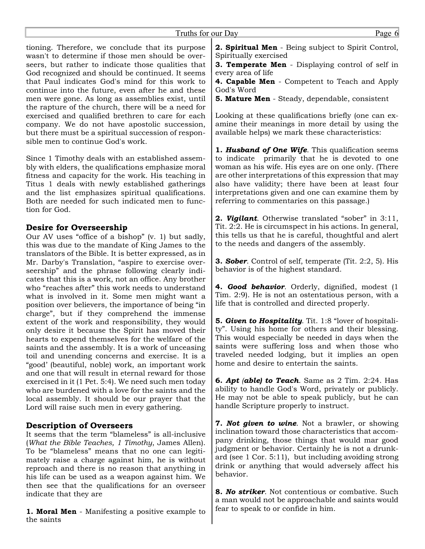tioning. Therefore, we conclude that its purpose wasn't to determine if those men should be overseers, but rather to indicate those qualities that God recognized and should be continued. It seems that Paul indicates God's mind for this work to continue into the future, even after he and these men were gone. As long as assemblies exist, until the rapture of the church, there will be a need for exercised and qualified brethren to care for each company. We do not have apostolic succession, but there must be a spiritual succession of responsible men to continue God's work.

Since 1 Timothy deals with an established assembly with elders, the qualifications emphasize moral fitness and capacity for the work. His teaching in Titus 1 deals with newly established gatherings and the list emphasizes spiritual qualifications. Both are needed for such indicated men to function for God.

#### **Desire for Overseership**

Our AV uses "office of a bishop" (v. 1) but sadly, this was due to the mandate of King James to the translators of the Bible. It is better expressed, as in Mr. Darby's Translation, "aspire to exercise overseership" and the phrase following clearly indicates that this is a work, not an office. Any brother who "reaches after" this work needs to understand what is involved in it. Some men might want a position over believers, the importance of being "in charge", but if they comprehend the immense extent of the work and responsibility, they would only desire it because the Spirit has moved their hearts to expend themselves for the welfare of the saints and the assembly. It is a work of unceasing toil and unending concerns and exercise. It is a "good' (beautiful, noble) work, an important work and one that will result in eternal reward for those exercised in it (1 Pet. 5:4). We need such men today who are burdened with a love for the saints and the local assembly. It should be our prayer that the Lord will raise such men in every gathering.

#### **Description of Overseers**

It seems that the term "blameless" is all-inclusive (*What the Bible Teaches, 1 Timothy*, James Allen). To be "blameless" means that no one can legitimately raise a charge against him, he is without reproach and there is no reason that anything in his life can be used as a weapon against him. We then see that the qualifications for an overseer indicate that they are

**1. Moral Men** - Manifesting a positive example to the saints

**2. Spiritual Men** - Being subject to Spirit Control, Spiritually exercised

**3. Temperate Men** - Displaying control of self in every area of life

**4. Capable Men** - Competent to Teach and Apply God's Word

**5. Mature Men** - Steady, dependable, consistent

Looking at these qualifications briefly (one can examine their meanings in more detail by using the available helps) we mark these characteristics:

**1.** *Husband of One Wife*. This qualification seems to indicate primarily that he is devoted to one woman as his wife. His eyes are on one only. (There are other interpretations of this expression that may also have validity; there have been at least four interpretations given and one can examine them by referring to commentaries on this passage.)

**2.** *Vigilant*. Otherwise translated "sober" in 3:11, Tit. 2:2. He is circumspect in his actions. In general, this tells us that he is careful, thoughtful and alert to the needs and dangers of the assembly.

**3.** *Sober*. Control of self, temperate (Tit. 2:2, 5). His behavior is of the highest standard.

**4.** *Good behavior.* Orderly, dignified, modest (1 Tim. 2:9). He is not an ostentatious person, with a life that is controlled and directed properly.

**5.** *Given to Hospitality*. Tit. 1:8 "lover of hospitality". Using his home for others and their blessing. This would especially be needed in days when the saints were suffering loss and when those who traveled needed lodging, but it implies an open home and desire to entertain the saints.

**6.** *Apt (able) to Teach*. Same as 2 Tim. 2:24. Has ability to handle God's Word, privately or publicly. He may not be able to speak publicly, but he can handle Scripture properly to instruct.

**7.** *Not given to wine*. Not a brawler, or showing inclination toward those characteristics that accompany drinking, those things that would mar good judgment or behavior. Certainly he is not a drunkard (see 1 Cor. 5:11), but including avoiding strong drink or anything that would adversely affect his behavior.

**8.** *No striker*. Not contentious or combative. Such a man would not be approachable and saints would fear to speak to or confide in him.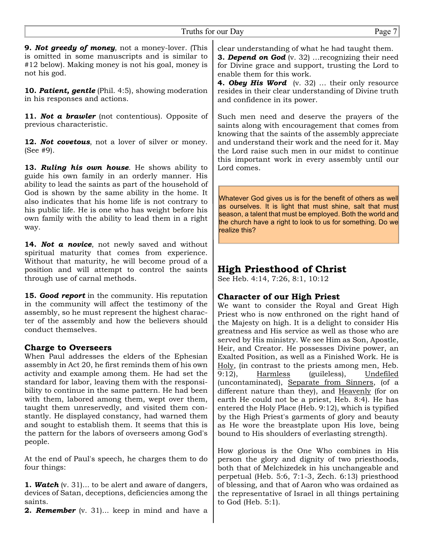**9.** *Not greedy of money*, not a money-lover. (This is omitted in some manuscripts and is similar to #12 below). Making money is not his goal, money is not his god.

**10.** *Patient, gentle* (Phil. 4:5), showing moderation in his responses and actions.

**11.** *Not a brawler* (not contentious). Opposite of previous characteristic.

**12.** *Not covetous*, not a lover of silver or money. (See #9).

**13.** *Ruling his own house*. He shows ability to guide his own family in an orderly manner. His ability to lead the saints as part of the household of God is shown by the same ability in the home. It also indicates that his home life is not contrary to his public life. He is one who has weight before his own family with the ability to lead them in a right way.

**14.** *Not a novice*, not newly saved and without spiritual maturity that comes from experience. Without that maturity, he will become proud of a position and will attempt to control the saints through use of carnal methods.

**15.** *Good report* in the community. His reputation in the community will affect the testimony of the assembly, so he must represent the highest character of the assembly and how the believers should conduct themselves.

#### **Charge to Overseers**

When Paul addresses the elders of the Ephesian assembly in Act 20, he first reminds them of his own activity and example among them. He had set the standard for labor, leaving them with the responsibility to continue in the same pattern. He had been with them, labored among them, wept over them, taught them unreservedly, and visited them constantly. He displayed constancy, had warned them and sought to establish them. It seems that this is the pattern for the labors of overseers among God's people.

At the end of Paul's speech, he charges them to do four things:

**1.** *Watch* (v. 31)... to be alert and aware of dangers, devices of Satan, deceptions, deficiencies among the saints.

**2.** *Remember* (v. 31)... keep in mind and have a

clear understanding of what he had taught them. **3.** *Depend on God* (v. 32) …recognizing their need for Divine grace and support, trusting the Lord to enable them for this work.

**4.** *Obey His Word* (v. 32) … their only resource resides in their clear understanding of Divine truth and confidence in its power.

Such men need and deserve the prayers of the saints along with encouragement that comes from knowing that the saints of the assembly appreciate and understand their work and the need for it. May the Lord raise such men in our midst to continue this important work in every assembly until our Lord comes.

Whatever God gives us is for the benefit of others as well as ourselves. It is light that must shine, salt that must season, a talent that must be employed. Both the world and the church have a right to look to us for something. Do we realize this?

# **High Priesthood of Christ**

See Heb. 4:14, 7:26, 8:1, 10:12

#### **Character of our High Priest**

We want to consider the Royal and Great High Priest who is now enthroned on the right hand of the Majesty on high. It is a delight to consider His greatness and His service as well as those who are served by His ministry. We see Him as Son, Apostle, Heir, and Creator. He possesses Divine power, an Exalted Position, as well as a Finished Work. He is Holy, (in contrast to the priests among men, Heb. 9:12), Harmless (guileless), Undefiled (uncontaminated), Separate from Sinners, (of a different nature than they), and Heavenly (for on earth He could not be a priest, Heb. 8:4). He has entered the Holy Place (Heb. 9:12), which is typified by the High Priest's garments of glory and beauty as He wore the breastplate upon His love, being bound to His shoulders of everlasting strength).

How glorious is the One Who combines in His person the glory and dignity of two priesthoods, both that of Melchizedek in his unchangeable and perpetual (Heb. 5:6, 7:1-3, Zech. 6:13) priesthood of blessing, and that of Aaron who was ordained as the representative of Israel in all things pertaining to God (Heb. 5:1).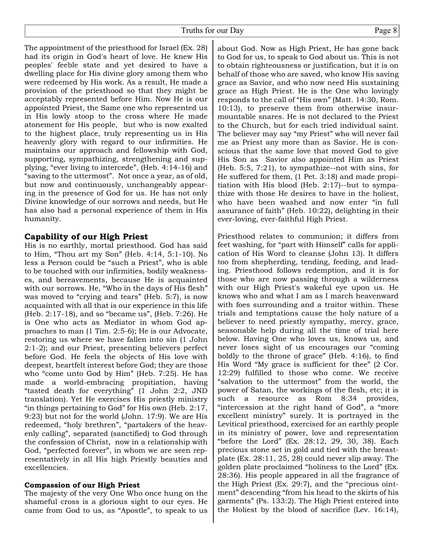The appointment of the priesthood for Israel (Ex. 28) had its origin in God's heart of love. He knew His peoples' feeble state and yet desired to have a dwelling place for His divine glory among them who were redeemed by His work. As a result, He made a provision of the priesthood so that they might be acceptably represented before Him. Now He is our appointed Priest, the Same one who represented us in His lowly stoop to the cross where He made atonement for His people, but who is now exalted to the highest place, truly representing us in His heavenly glory with regard to our infirmities. He maintains our approach and fellowship with God, supporting, sympathizing, strengthening and supplying, "ever living to intercede", (Heb. 4:14-16) and "saving to the uttermost". Not once a year, as of old, but now and continuously, unchangeably appearing in the presence of God for us. He has not only Divine knowledge of our sorrows and needs, but He has also had a personal experience of them in His humanity.

#### **Capability of our High Priest**

His is no earthly, mortal priesthood. God has said to Him, "Thou art my Son" (Heb. 4:14, 5:1-10). No less a Person could be "such a Priest", who is able to be touched with our infirmities, bodily weaknesses, and bereavements, because He is acquainted with our sorrows. He, "Who in the days of His flesh" was moved to "crying and tears" (Heb. 5:7), is now acquainted with all that is our experience in this life (Heb. 2:17-18), and so "became us", (Heb. 7:26). He is One who acts as Mediator in whom God approaches to man (1 Tim. 2:5-6); He is our Advocate, restoring us where we have fallen into sin (1 John 2:1-2); and our Priest, presenting believers perfect before God. He feels the objects of His love with deepest, heartfelt interest before God; they are those who "come unto God by Him" (Heb. 7:25). He has made a world-embracing propitiation, having "tasted death for everything" (1 John 2:2, JND translation). Yet He exercises His priestly ministry "in things pertaining to God" for His own (Heb. 2:17, 9:23) but not for the world (John. 17:9). We are His redeemed, "holy brethren", "partakers of the heavenly calling", separated (sanctified) to God through the confession of Christ, now in a relationship with God, "perfected forever", in whom we are seen representatively in all His high Priestly beauties and excellencies.

#### **Compassion of our High Priest**

The majesty of the very One Who once hung on the shameful cross is a glorious sight to our eyes. He came from God to us, as "Apostle", to speak to us

about God. Now as High Priest, He has gone back to God for us, to speak to God about us. This is not to obtain righteousness or justification, but it is on behalf of those who are saved, who know His saving grace as Savior, and who now need His sustaining grace as High Priest. He is the One who lovingly responds to the call of "His own" (Matt. 14:30, Rom. 10:13), to preserve them from otherwise insurmountable snares. He is not declared to the Priest to the Church, but for each tried individual saint. The believer may say "my Priest" who will never fail me as Priest any more than as Savior. He is conscious that the same love that moved God to give His Son as Savior also appointed Him as Priest (Heb. 5:5, 7:21), to sympathize--not with sins, for He suffered for them, (1 Pet. 3:18) and made propitiation with His blood (Heb. 2:17)--but to sympathize with those He desires to have in the holiest, who have been washed and now enter "in full assurance of faith" (Heb. 10:22), delighting in their ever-loving, ever-faithful High Priest.

Priesthood relates to communion; it differs from feet washing, for "part with Himself" calls for application of His Word to cleanse (John 13). It differs too from shepherding, tending, feeding, and leading. Priesthood follows redemption, and it is for those who are now passing through a wilderness with our High Priest's wakeful eye upon us. He knows who and what I am as I march heavenward with foes surrounding and a traitor within. These trials and temptations cause the holy nature of a believer to need priestly sympathy, mercy, grace, seasonable help during all the time of trial here below. Having One who loves us, knows us, and never loses sight of us encourages our "coming boldly to the throne of grace" (Heb. 4:16), to find His Word "My grace is sufficient for thee" (2 Cor. 12:29) fulfilled to those who come. We receive "salvation to the uttermost" from the world, the power of Satan, the workings of the flesh, etc; it is such a resource as Rom 8:34 provides, "intercession at the right hand of God", a "more excellent ministry" surely. It is portrayed in the Levitical priesthood, exercised for an earthly people in its ministry of power, love and representation "before the Lord" (Ex. 28:12, 29, 30, 38). Each precious stone set in gold and tied with the breastplate (Ex. 28:11, 25, 28) could never slip away. The golden plate proclaimed "holiness to the Lord" (Ex. 28:36). His people appeared in all the fragrance of the High Priest (Ex. 29:7), and the "precious ointment" descending "from his head to the skirts of his garments" (Ps. 133:2). The High Priest entered into the Holiest by the blood of sacrifice (Lev. 16:14),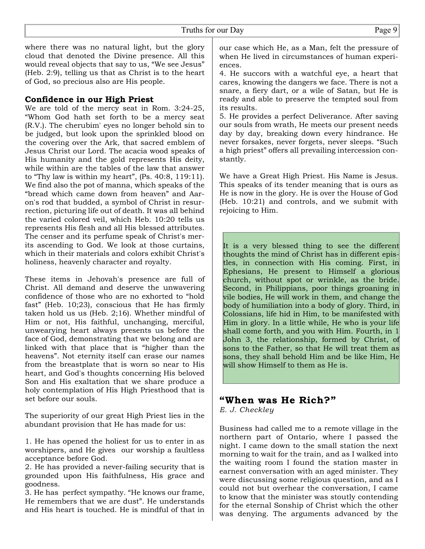where there was no natural light, but the glory cloud that denoted the Divine presence. All this would reveal objects that say to us, "We see Jesus" (Heb. 2:9), telling us that as Christ is to the heart of God, so precious also are His people.

#### **Confidence in our High Priest**

We are told of the mercy seat in Rom. 3:24-25, "Whom God hath set forth to be a mercy seat (R.V.). The cherubim' eyes no longer behold sin to be judged, but look upon the sprinkled blood on the covering over the Ark, that sacred emblem of Jesus Christ our Lord. The acacia wood speaks of His humanity and the gold represents His deity, while within are the tables of the law that answer to "Thy law is within my heart", (Ps. 40:8, 119:11). We find also the pot of manna, which speaks of the "bread which came down from heaven" and Aaron's rod that budded, a symbol of Christ in resurrection, picturing life out of death. It was all behind the varied colored veil, which Heb. 10:20 tells us represents His flesh and all His blessed attributes. The censer and its perfume speak of Christ's merits ascending to God. We look at those curtains, which in their materials and colors exhibit Christ's holiness, heavenly character and royalty.

These items in Jehovah's presence are full of Christ. All demand and deserve the unwavering confidence of those who are no exhorted to "hold fast" (Heb. 10;23), conscious that He has firmly taken hold us us (Heb. 2;16). Whether mindful of Him or not, His faithful, unchanging, merciful, unwearying heart always presents us before the face of God, demonstrating that we belong and are linked with that place that is "higher than the heavens". Not eternity itself can erase our names from the breastplate that is worn so near to His heart, and God's thoughts concerning His beloved Son and His exaltation that we share produce a holy contemplation of His High Priesthood that is set before our souls.

The superiority of our great High Priest lies in the abundant provision that He has made for us:

1. He has opened the holiest for us to enter in as worshipers, and He gives our worship a faultless acceptance before God.

2. He has provided a never-failing security that is grounded upon His faithfulness, His grace and goodness.

3. He has perfect sympathy. "He knows our frame, He remembers that we are dust". He understands and His heart is touched. He is mindful of that in

our case which He, as a Man, felt the pressure of when He lived in circumstances of human experiences.

4. He succors with a watchful eye, a heart that cares, knowing the dangers we face. There is not a snare, a fiery dart, or a wile of Satan, but He is ready and able to preserve the tempted soul from its results.

5. He provides a perfect Deliverance. After saving our souls from wrath, He meets our present needs day by day, breaking down every hindrance. He never forsakes, never forgets, never sleeps. "Such a high priest" offers all prevailing intercession constantly.

We have a Great High Priest. His Name is Jesus. This speaks of its tender meaning that is ours as He is now in the glory. He is over the House of God (Heb. 10:21) and controls, and we submit with rejoicing to Him.

It is a very blessed thing to see the different thoughts the mind of Christ has in different epistles, in connection with His coming. First, in Ephesians, He present to Himself a glorious church, without spot or wrinkle, as the bride. Second, in Philippians, poor things groaning in vile bodies, He will work in them, and change the body of humiliation into a body of glory. Third, in Colossians, life hid in Him, to be manifested with Him in glory. In a little while, He who is your life shall come forth, and you with Him. Fourth, in 1 John 3, the relationship, formed by Christ, of sons to the Father, so that He will treat them as sons, they shall behold Him and be like Him, He will show Himself to them as He is.

#### **"When was He Rich?"**

*E. J. Checkley*

Business had called me to a remote village in the northern part of Ontario, where I passed the night. I came down to the small station the next morning to wait for the train, and as I walked into the waiting room I found the station master in earnest conversation with an aged minister. They were discussing some religious question, and as I could not but overhear the conversation, I came to know that the minister was stoutly contending for the eternal Sonship of Christ which the other was denying. The arguments advanced by the